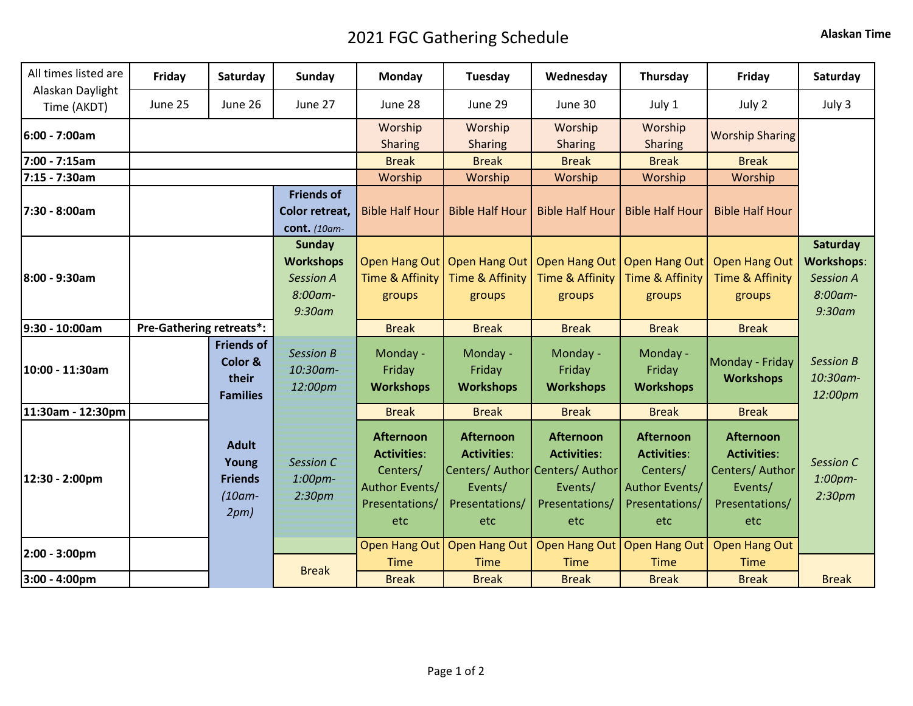## 2021 FGC Gathering Schedule **Alaskan Time**

| All times listed are            | Friday                          | Saturday                                                     | Sunday                                                                        | Monday                                                                                        | Tuesday                                                                                                       | Wednesday                                                                  | Thursday                                                                                      | Friday                                                                                        | Saturday                                                                  |
|---------------------------------|---------------------------------|--------------------------------------------------------------|-------------------------------------------------------------------------------|-----------------------------------------------------------------------------------------------|---------------------------------------------------------------------------------------------------------------|----------------------------------------------------------------------------|-----------------------------------------------------------------------------------------------|-----------------------------------------------------------------------------------------------|---------------------------------------------------------------------------|
| Alaskan Daylight<br>Time (AKDT) | June 25                         | June 26                                                      | June 27                                                                       | June 28                                                                                       | June 29                                                                                                       | June 30                                                                    | July 1                                                                                        | July 2                                                                                        | July 3                                                                    |
| 6:00 - 7:00am                   |                                 |                                                              |                                                                               | Worship<br><b>Sharing</b>                                                                     | Worship<br><b>Sharing</b>                                                                                     | Worship<br><b>Sharing</b>                                                  | Worship<br>Sharing                                                                            | <b>Worship Sharing</b>                                                                        |                                                                           |
| 7:00 - 7:15am                   |                                 |                                                              |                                                                               | <b>Break</b>                                                                                  | <b>Break</b>                                                                                                  | <b>Break</b>                                                               | <b>Break</b>                                                                                  | <b>Break</b>                                                                                  |                                                                           |
| 7:15 - 7:30am                   |                                 |                                                              |                                                                               | Worship                                                                                       | Worship                                                                                                       | Worship                                                                    | Worship                                                                                       | Worship                                                                                       |                                                                           |
| 7:30 - 8:00am                   |                                 |                                                              | <b>Friends of</b><br>Color retreat,<br>cont. (10am-                           | <b>Bible Half Hour</b>                                                                        | <b>Bible Half Hour</b>                                                                                        | <b>Bible Half Hour</b>                                                     | <b>Bible Half Hour</b>                                                                        | <b>Bible Half Hour</b>                                                                        |                                                                           |
| 8:00 - 9:30am                   |                                 |                                                              | <b>Sunday</b><br><b>Workshops</b><br><b>Session A</b><br>8:00am-<br>$9:30$ am | <b>Open Hang Out</b><br>Time & Affinity<br>groups                                             | Open Hang Out<br>Time & Affinity<br>groups                                                                    | Open Hang Out<br>Time & Affinity<br>groups                                 | Open Hang Out<br>Time & Affinity<br>groups                                                    | <b>Open Hang Out</b><br>Time & Affinity<br>groups                                             | Saturday<br><b>Workshops:</b><br><b>Session A</b><br>8:00am-<br>$9:30$ am |
| 9:30 - 10:00am                  | <b>Pre-Gathering retreats*:</b> |                                                              |                                                                               | <b>Break</b>                                                                                  | <b>Break</b>                                                                                                  | <b>Break</b>                                                               | <b>Break</b>                                                                                  | <b>Break</b>                                                                                  |                                                                           |
| 10:00 - 11:30am                 |                                 | <b>Friends of</b><br>Color &<br>their<br><b>Families</b>     | <b>Session B</b><br>10:30am-<br>12:00pm                                       | Monday -<br>Friday<br><b>Workshops</b>                                                        | Monday -<br>Friday<br><b>Workshops</b>                                                                        | Monday -<br>Friday<br><b>Workshops</b>                                     | Monday -<br>Friday<br><b>Workshops</b>                                                        | Monday - Friday<br><b>Workshops</b>                                                           | <b>Session B</b><br>10:30am-<br>12:00pm                                   |
| 11:30am - 12:30pm               |                                 |                                                              |                                                                               | <b>Break</b>                                                                                  | <b>Break</b>                                                                                                  | <b>Break</b>                                                               | <b>Break</b>                                                                                  | <b>Break</b>                                                                                  |                                                                           |
| 12:30 - 2:00pm                  |                                 | <b>Adult</b><br>Young<br><b>Friends</b><br>$(10am -$<br>2pm) | <b>Session C</b><br>1:00pm-<br>2:30 <sub>pm</sub>                             | <b>Afternoon</b><br><b>Activities:</b><br>Centers/<br>Author Events/<br>Presentations/<br>etc | <b>Afternoon</b><br><b>Activities:</b><br>Centers/ Author Centers/ Author<br>Events/<br>Presentations/<br>etc | <b>Afternoon</b><br><b>Activities:</b><br>Events/<br>Presentations/<br>etc | <b>Afternoon</b><br><b>Activities:</b><br>Centers/<br>Author Events/<br>Presentations/<br>etc | <b>Afternoon</b><br><b>Activities:</b><br>Centers/ Author<br>Events/<br>Presentations/<br>etc | Session C<br>1:00pm-<br>2:30 <sub>pm</sub>                                |
| $2:00 - 3:00 \text{pm}$         |                                 |                                                              |                                                                               | Open Hang Out                                                                                 | <b>Open Hang Out</b>                                                                                          | Open Hang Out                                                              | Open Hang Out                                                                                 | <b>Open Hang Out</b>                                                                          |                                                                           |
|                                 |                                 | <b>Break</b>                                                 |                                                                               | <b>Time</b>                                                                                   | <b>Time</b>                                                                                                   | <b>Time</b>                                                                | <b>Time</b>                                                                                   | <b>Time</b>                                                                                   |                                                                           |
| 3:00 - 4:00pm                   |                                 |                                                              |                                                                               | <b>Break</b>                                                                                  | <b>Break</b>                                                                                                  | <b>Break</b>                                                               | <b>Break</b>                                                                                  | <b>Break</b>                                                                                  | <b>Break</b>                                                              |